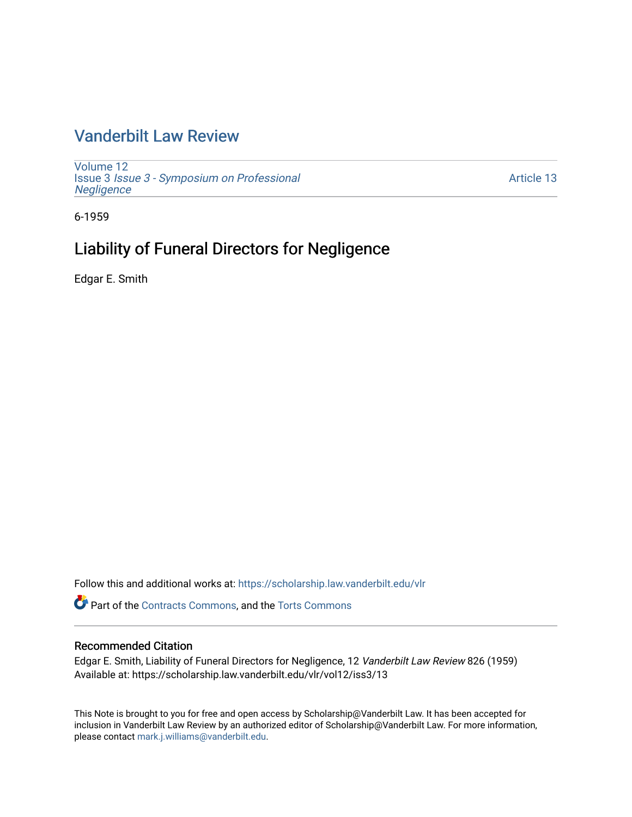## [Vanderbilt Law Review](https://scholarship.law.vanderbilt.edu/vlr)

[Volume 12](https://scholarship.law.vanderbilt.edu/vlr/vol12) Issue 3 [Issue 3 - Symposium on Professional](https://scholarship.law.vanderbilt.edu/vlr/vol12/iss3) **Negligence** 

[Article 13](https://scholarship.law.vanderbilt.edu/vlr/vol12/iss3/13) 

6-1959

## Liability of Funeral Directors for Negligence

Edgar E. Smith

Follow this and additional works at: [https://scholarship.law.vanderbilt.edu/vlr](https://scholarship.law.vanderbilt.edu/vlr?utm_source=scholarship.law.vanderbilt.edu%2Fvlr%2Fvol12%2Fiss3%2F13&utm_medium=PDF&utm_campaign=PDFCoverPages)

Part of the [Contracts Commons](http://network.bepress.com/hgg/discipline/591?utm_source=scholarship.law.vanderbilt.edu%2Fvlr%2Fvol12%2Fiss3%2F13&utm_medium=PDF&utm_campaign=PDFCoverPages), and the [Torts Commons](http://network.bepress.com/hgg/discipline/913?utm_source=scholarship.law.vanderbilt.edu%2Fvlr%2Fvol12%2Fiss3%2F13&utm_medium=PDF&utm_campaign=PDFCoverPages) 

#### Recommended Citation

Edgar E. Smith, Liability of Funeral Directors for Negligence, 12 Vanderbilt Law Review 826 (1959) Available at: https://scholarship.law.vanderbilt.edu/vlr/vol12/iss3/13

This Note is brought to you for free and open access by Scholarship@Vanderbilt Law. It has been accepted for inclusion in Vanderbilt Law Review by an authorized editor of Scholarship@Vanderbilt Law. For more information, please contact [mark.j.williams@vanderbilt.edu.](mailto:mark.j.williams@vanderbilt.edu)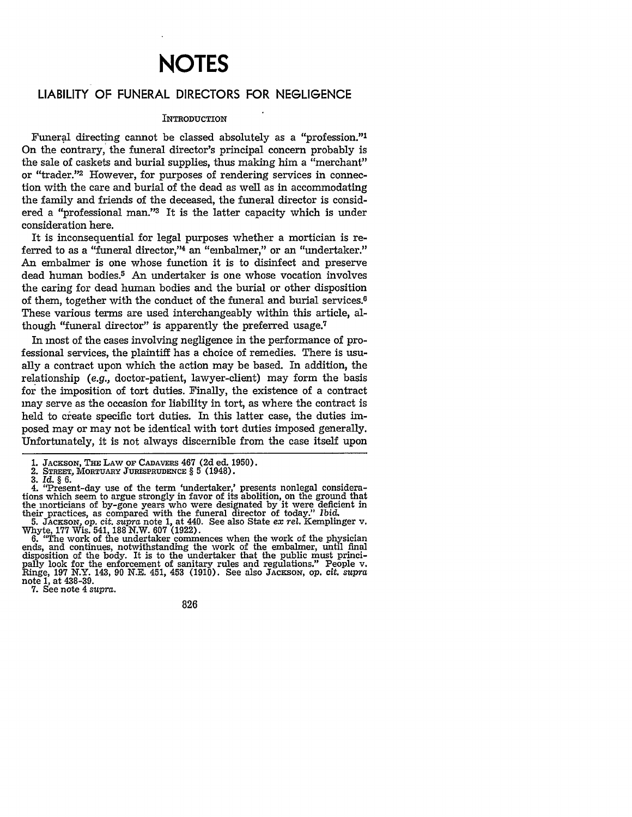# **NOTES**

### LIABILITY OF **FUNERAL** DIRECTORS FOR **NEGLIGENCE**

#### **INTRODUCTION**

Funeral directing cannot be classed absolutely as a "profession."' On the contrary, the funeral director's principal concern probably is the sale of caskets and burial supplies, thus making him a "merchant" or "trader."2 However, for purposes of rendering services in connection with the care and burial of the dead as well as in accommodating the family and friends of the deceased, the funeral director is considered a "professional man."<sup>3</sup> It is the latter capacity which is under consideration here.

It is inconsequential for legal purposes whether a mortician is referred to as a "funeral director,"4 an "embalmer," or an "undertaker." An embalmer is one whose function it is to disinfect and preserve dead human bodies.<sup>5</sup> An undertaker is one whose vocation involves the caring for dead human bodies and the burial or other disposition of them, together with the conduct of the funeral and burial services. $6$ These various terms are used interchangeably within this article, although "funeral director" is apparently the preferred usage.7

In most of the cases involving negligence in the performance of professional services, the plaintiff has a choice of remedies. There is usually a contract upon which the action may be based. In addition, the relationship (e.g., doctor-patient, lawyer-client) may form the basis for the imposition of tort duties. Finally, the existence of a contract may serve as the occasion for liability in tort, as where the contract is held to create specific tort duties. In this latter case, the duties imposed may or may not be identical with tort duties imposed generally. Unfortunately, it is not always discernible from the case itself upon

3. *Id.* § 6.

4. "Present-day use of the term 'undertaker,' presents nonlegal considera-tions which seem to argue strongly in favor of its abolition, on the ground that the morticians of by-gone years who were designated by it were deficient in<br>their practices, as compared with the funeral director of today." Ibid.<br>5. JACKSON, op. cit. supra note 1, at 440. See also State ex rel. Kempling

6. "The work of the undertaker commences when the work of the physician ends, and continues, notwithstanding the work of the embalmer, until final ends, and continues, notwithstanding the work of the embalmer, until final disposition of the body. It is to the undertaker that the public must principally look for the enforcement of sanitary rules and regulations." Peop pally look for the enforcement of sanitary rules and regulations." People v. Ringe, 197 N.Y. 143, 90 N.E. 451, 453 (1910). See also **JACKSON,** op. *cit. supra* note 1, at 438-39.

7. See note 4 *supra.*

826

<sup>1.</sup> JACKSON, **THE** LAW **OF** CADAVERS 467 (2d ed. 1950). 1. JACKSON, THE LAW OF CADAVERS 467 (2d ed. 1<br>2. STREET, MORTUARY JURISPRUDENCE § 5 (1948).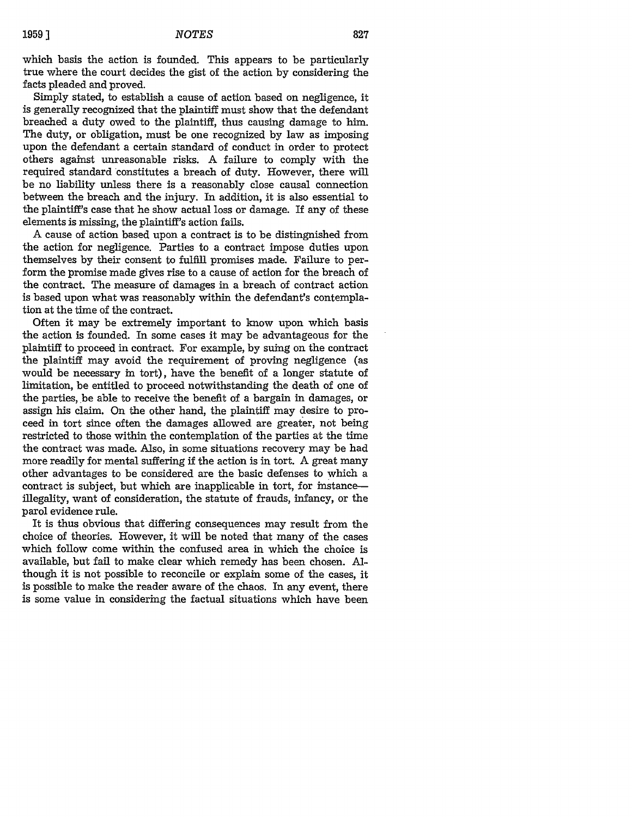which basis the action is founded. This appears to be particularly true where the court decides the gist of the action **by** considering the facts pleaded and proved.

Simply stated, to establish a cause of action based on negligence, it is generally recognized that the plaintiff must show that the defendant breached a duty owed to the plaintiff, thus causing damage to **him.** The duty, or obligation, must be one recognized **by** law as imposing upon the defendant a certain standard of conduct in order to protect others against unreasonable risks. A failure to comply with the required standard constitutes a breach of duty. However, there will be no liability unless there is a reasonably close causal connection between the breach and the injury. In addition, it is also essential to the plaintiff's case that he show actual loss or damage. If any of these elements is missing, the plaintiff's action fails.

A cause of action based upon a contract is to be distingnished from the action for negligence. Parties to a contract impose duties upon themselves **by** their consent to fulfill promises made. Failure to perform the promise made gives rise to a cause of action for the breach of the contract. The measure of damages in a breach of contract action is based upon what was reasonably within the defendant's contemplation at the time of the contract.

Often it may be extremely important to know upon which basis the action is founded. In some cases it may be advantageous for the plaintiff to proceed in contract. For example, **by** suing on the contract the plaintiff may avoid the requirement of proving negligence (as would be necessary in tort), have the benefit of a longer statute of limitation, be entitled to proceed notwithstanding the death of one of the parties, be able to receive the benefit of a bargain in damages, or assign his claim. On the other hand, the plaintiff may desire to proceed in tort since often the damages allowed are greater, not being restricted to those within the contemplation of the parties at the time the contract was made. Also, in some situations recovery may be had more readily for mental suffering if the action is in tort. A great many other advantages to be considered are the basic defenses to which a contract is subject, but which are inapplicable in tort, for instanceillegality, want of consideration, the statute of frauds, infancy, or the parol evidence rule.

It is thus obvious that differing consequences may result from the choice of theories. However, it will be noted that many of the cases which follow come within the confused area in which the choice is available, but fail to make clear which remedy has been chosen. **Al**though it is not possible to reconcile or explain some of the cases, it is possible to make the reader aware of the chaos. In any event, there is some value in considering the factual situations which have been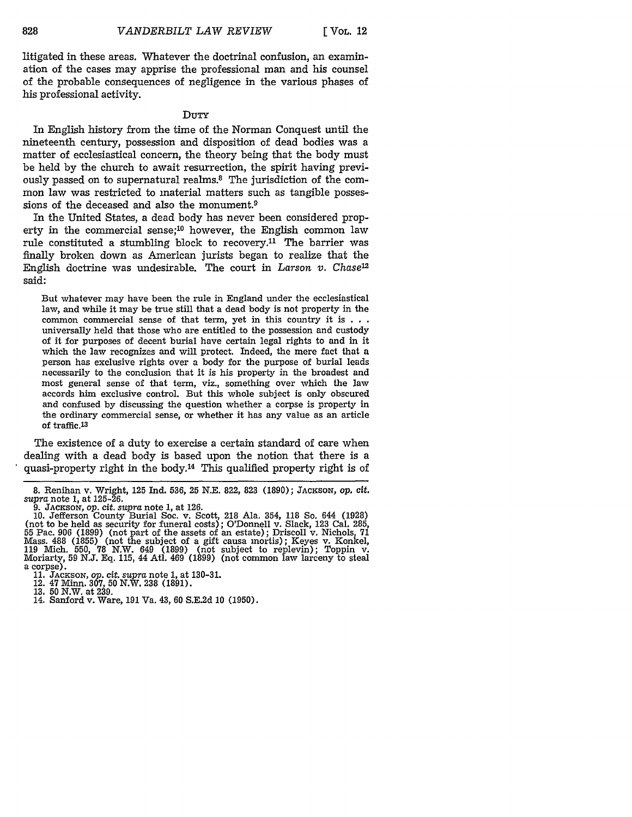litigated in these areas. Whatever the doctrinal confusion, an examination of the cases may apprise the professional man and his counsel of the probable consequences of negligence in the various phases of his professional activity.

#### DuTY

In English history from the time of the Norman Conquest until the nineteenth century, possession and disposition of dead bodies was a matter of ecclesiastical concern, the theory being that the body must be held by the church to await resurrection, the spirit having previously passed on to supernatural realms.<sup>8</sup> The jurisdiction of the common law was restricted to material matters such as tangible possessions of the deceased and also the monument.9

In the United States, a dead body has never been considered property in the commercial sense;<sup>10</sup> however, the English common law rule constituted a stumbling block to recovery.<sup>11</sup> The barrier was finally broken down as American jurists began to realize that the English doctrine was undesirable. The court in *Larson v. Chase12* said:

But whatever may have been the rule in England under the ecclesiastical law, and while it may be true still that a dead body is not property in the common commercial sense of that term, yet in this country it is **. . .** universally held that those who are entitled to the possession and custody of it for purposes of decent burial have certain legal rights to and in it which the law recognizes and will protect. Indeed, the mere fact that a person has exclusive rights over a body for the purpose of burial leads necessarily to the conclusion that it is his property in the broadest and most general sense of that term, viz., something over which the law accords him exclusive control. But this whole subject is only obscured and confused by discussing the question whether a corpse is property in the ordinary commercial sense, or whether it has any value as an article of traffic.13

The existence of a duty to exercise a certain standard of care when dealing with a dead body is based upon the notion that there is a quasi-property right in the body.14 This qualified property right is of

9. **JACKSON,** op. cit. *supra* note 1, at 126.

**<sup>8.</sup>** Renihan v. Wright, 125 Ind. 536, 25 **N.E.** 822, 823 (1890); JACKSON, **op.** *Cit. supra* note 1, at 125-26.

<sup>10.</sup> Jefferson County Burial Soc. v. Scott, 218 Ala. 354, 118 So. 644 (1928)<br>(not to be held as security for funeral costs); O'Donnell v. Slack, 123 Cal. 285<br>55 Pac. 906 (1899) (not part of the assets of an estate); Driscol 119 Mich. 550, 78 N.W. 649 (1899) (not subject to replevin); Toppin v. Moriarty, 59 N.J. Eq. 115, 44 Atl. 469 (1899) (not common law larceny to steal a corpse).

<sup>11.</sup> JACKSON, op. cit. *supra* note 1, at 130-31. 12. 47 Minn. 307, 50 N.W. 238 (1891). **13.** 50 N.W. at 239.

<sup>14.</sup> Sanford v. Ware, 191 Va. 43, 60 S.E.2d 10 (1950).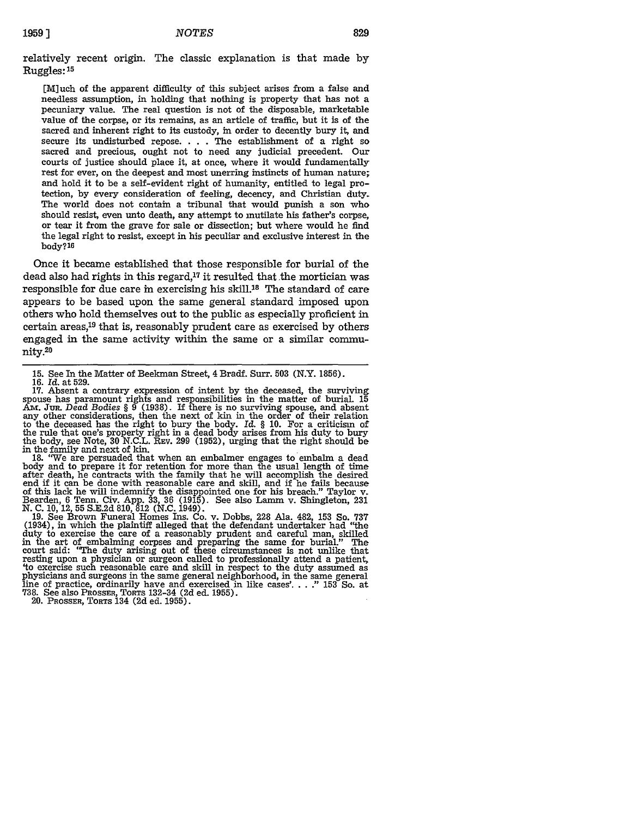relatively recent origin. The classic explanation is that made by Ruggles: **<sup>1</sup> 5**

[M]uch of the apparent difficulty of this subject arises from a false and needless assumption, in holding that nothing is property that has not a pecuniary value. The real question is not of the disposable, marketable value of the corpse, or its remains, as an article of traffic, but it is of the sacred and inherent right to its custody, in order to decently bury it, and secure its undisturbed repose. . . . The establishment of a right so sacred and precious, ought not to need any judicial precedent. Our courts of justice should place it, at once, where it would fundamentally rest for ever, on the deepest and most unerring instincts of human nature; and hold it to be a self-evident right of humanity, entitled to legal protection, by every consideration of feeling, decency, and Christian duty. The world does not contain a tribunal that would punish a son who should resist, even unto death, any attempt to mutilate his father's corpse, or tear it from the grave for sale or dissection; but where would he find the legal right to resist, except in his peculiar and exclusive interest in the body?16

Once it became established that those responsible for burial of the dead also had rights in this regard,<sup>17</sup> it resulted that the mortician was responsible for due care in exercising his skill.18 The standard of care appears to be based upon the same general standard imposed upon others who hold themselves out to the public as especially proficient in certain areas,<sup>19</sup> that is, reasonably prudent care as exercised by others engaged in the same activity within the same or a similar community.20

18. "We are persuaded that when an embalmer engages to embalm a dead body and to prepare it for retention for more than the usual length of time after death, he contracts with the family that he will accomplish the desired end if it can be done with reasonable care and skill, and if he fails because of this lack he will indemnify the disappointed one for his breach." Taylor v. Bearden, 6 Tenn. Civ. App. **33,** 36 (1915). See also Lamm v. Shingleton, 231 N. C. 10, 12, **55** S.E.2d 810, 812 (N.C. 1949). 19. See Brown Funeral Homes Ins. Co. v. Dobbs, 228 Ala. 482, 153 So. **<sup>737</sup>**

(1934), in which the plaintiff alleged that the defendant undertaker had "the duty to exercise the care of a reasonably prudent and careful man, skilled in the art of embalming corpses and preparing the same for burial." The court said: "The duty arising out of these circumstances is not unlike that resting upon a physician or surgeon called to professionally attend a patient, 'to exercise such reasonable care and skill in respect to the duty assumed as physicians and surgeons in the same general neighborhood, in the same general line of practice, ordinarily have and exercised in like cases'...." 153 So. at **738.** See also PROSSER, TORTS 132-34 **(2d** ed. **1955).** 20. PROSSER, **TORTS** 134 **(2d** ed. **1955).**

<sup>15.</sup> See In the Matter of Beekman Street, 4 Bradf. Surr. 503 (N.Y. 1856).<br>16. *Id.* at 529.<br>17. Absent a contrary expression of intent by the deceased, the surviving spouse has paramount rights and responsibilities in the matter of burial. 15 **Am.** JuR. *Dead Bodies* § 9 (1938). If there is no surviving spouse, and absent any other considerations, then the next of kin in the order of their relation to the deceased has the right to bury the body. *Id.* § 10. For a criticism of the rule that one's property right in a dead body arises from his duty to bury the body, see Note, **30** N.C.L. REV. 299 (1952), urging that the right should be in the family and next of kin.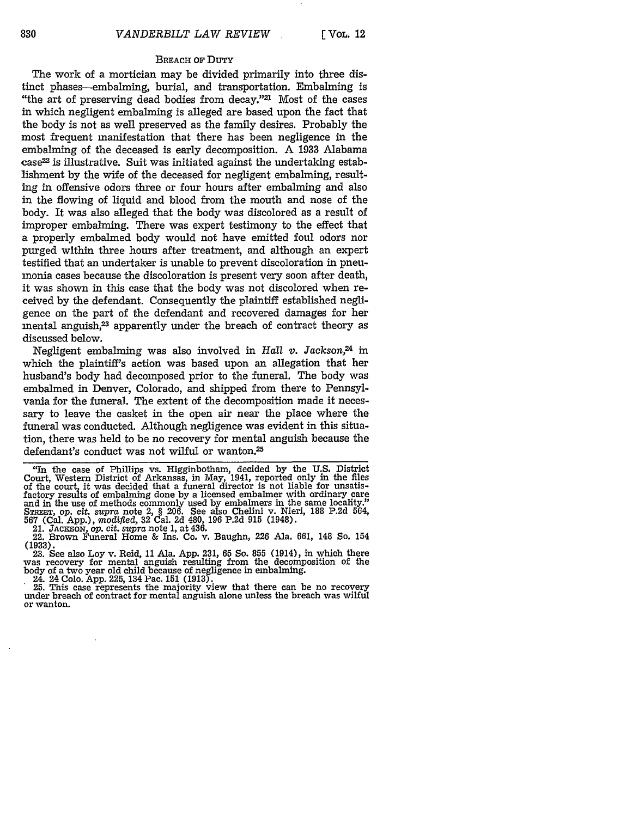#### BREACH oF DuTY

The work of a mortician may be divided primarily into three distinct phases-embalming, burial, and transportation. Embalming is "the art of preserving dead bodies from decay."21 Most of the cases in which negligent embalming is alleged are based upon the fact that the body is not as well preserved as the family desires. Probably the most frequent manifestation that there has been negligence in the embalming of the deceased is early decomposition. A 1933 Alabama case22 is illustrative. Suit was initiated against the undertaking establishment by the wife of the deceased for negligent embalming, resulting in offensive odors three or four hours after embalming and also in the flowing of liquid and blood from the mouth and nose of the body. It was also alleged that the body was discolored as a result of improper embalming. There was expert testimony to the effect that a properly embalmed body would not have emitted foul odors nor purged within three hours after treatment, and although an expert testified that an undertaker is unable to prevent discoloration in pneumonia cases because the discoloration is present very soon after death, it was shown in this case that the body was not discolored when received by the defendant. Consequently the plaintiff established negligence on the part of the defendant and recovered damages for her mental anguish,<sup>23</sup> apparently under the breach of contract theory as discussed below.

Negligent embalming was also involved in *Hall v. Jackson,2 <sup>4</sup>*in which the plaintiff's action was based upon an allegation that her husband's body had decomposed prior to the funeral. The body was embalmed in Denver, Colorado, and shipped from there to Pennsylvania for the funeral. The extent of the decomposition made it necessary to leave the casket in the open air near the place where the funeral was conducted. Although negligence was evident in this situation, there was held to be no recovery for mental anguish because the defendant's conduct was not wilful or wanton.<sup>25</sup>

21. JAcKSON, *op. cit. supra* note 1, at 436.

22. Brown Funeral Home & Ins. Co. v. Baughn, 226 Ala. 661, 148 So. 154

**(1933).** 23. See also Loy v. Reid, 11 Ala. App. 231, 65 So. **855** (1914), in which there was recovery for mental anguish resulting from the decomposition of the body of a two year old child because of negligence in embalming.

24. 24 Colo. App. 225, 134 Pac. 151 (1913). 25. This case represents the majority view that there can be no recovery under breach of contract for mental anguish alone unless the breach was wilful or wanton.

<sup>&</sup>quot;In the case of Phillips vs. Higginbotham, decided by the U.S. District Court, Western District of Arkansas, in May, 1941, reported only in the files of the court, it was decided that a funeral director is not liable for unsatisfactory results of embalming done by a licensed embalmer with ordinary care and in the use of methods commonly used by embalmers in the same locality."<br>STREET, op. cit. supra note 2, § 206. See also Chelini v. Nieri, 188 P.2d 564,<br>567 (Cal. App.), modified, 32 Cal. 2d 480, 196 P.2d 915 (1948).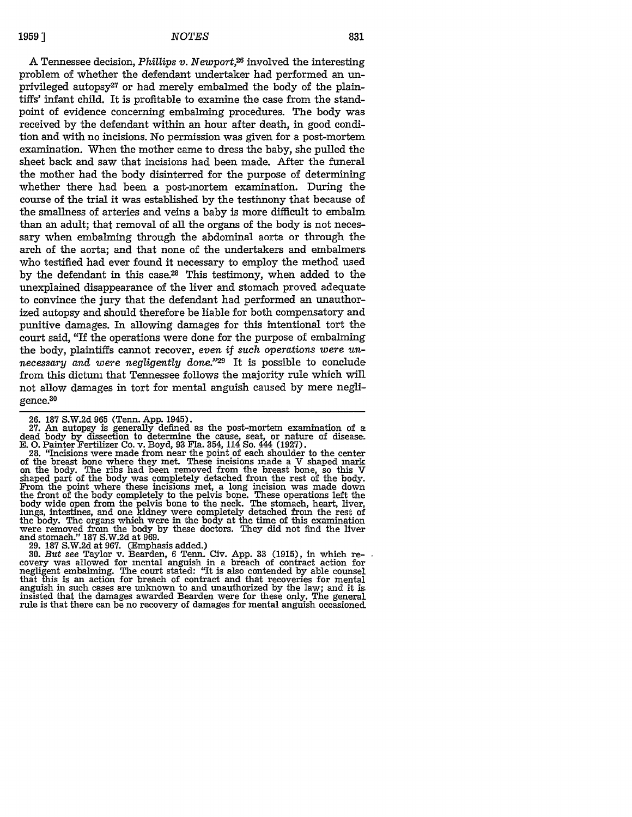A Tennessee decision, *Phillips v. Newport,26* involved the interesting problem of whether the defendant undertaker had performed an unprivileged autopsy<sup>27</sup> or had merely embalmed the body of the plaintiffs' infant child. It is profitable to examine the case from the standpoint of evidence concerning embalming procedures. The body was received by the defendant within an hour after death, in good condition and with no incisions. No permission was given for a post-mortem examination. When the mother came to dress the baby, she pulled the sheet back and saw that incisions had been made. After the funeral the mother had the body disinterred for the purpose of determining whether there had been a post-mortem examination. During the course of the trial it was established by the testimony that because of the smallness of arteries and veins a baby is more difficult to embalm than an adult; that removal of all the organs of the body is not necessary when embalming through the abdominal aorta or through the arch of the aorta; and that none of the undertakers and embalmers who testified had ever found it necessary to employ the method used by the defendant in this case.28 This testimony, when added to the unexplained disappearance of the liver and stomach proved adequate to convince the jury that the defendant had performed an unauthorized autopsy and should therefore be liable for both compensatory and punitive damages. In allowing damages for this intentional tort the court said, "If the operations were done for the purpose of embalming the body, plaintiffs cannot recover, *even if such operations were unnecessary and were negligently done."* It is possible to conclude from this dictum that Tennessee follows the majority rule which will not allow damages in tort for mental anguish caused by mere negligence.30

29. 187 S.W.2d at 967. (Emphasis added.) 30. *But see* Taylor v. Bearden, 6 Tenn. Civ. App. 33 (1915), in which recovery was allowed for mental anguish in a breach of contract action for negligent embalming. The court stated: "It is also contended by able counsel that this is an action for breach of contract and that recoveries for mental anguish in such cases are unknown to and unauthorized by the law; and it is insisted that the damages awarded Bearden were for these only. The general rule is that there can be no recovery of damages for mental anguish occasioned.

<sup>26. 187</sup> S.W.2d 965 (Tenn. App. 1945). 27. An autopsy is generally defined as the post-mortem examination of a 2.1. The discussion of determine the cause, seat, or nature of disease.<br>E. O. Painter Fertilizer Co. v. Boyd, 93 Fla. 354, 114 So. 444 (1927). **E. 0.** Painter Fertilizer Co. v. Boyd, 93 Fla. 354, 114 So. 444 (1927). 28. "Incisions were made from near the point of each shoulder to the center

of the breast bone where they met. These incisions made a V shaped mark<br>on the body. The ribs had been removed from the breast bone, so this V<br>shaped part of the body was completely detached from the rest of the body.<br>From the front of the body completely to the pelvis bone. These operations left the body wide open from the pelvis bone to the neck. The stomach, heart, liver, lungs, intestines, and one kidney were completely detached from the rest of the body. The organs which were in the body at the time of this examination were removed from the body by these doctors. They did not find the liver and stomach." 187 S.W.2d at 969.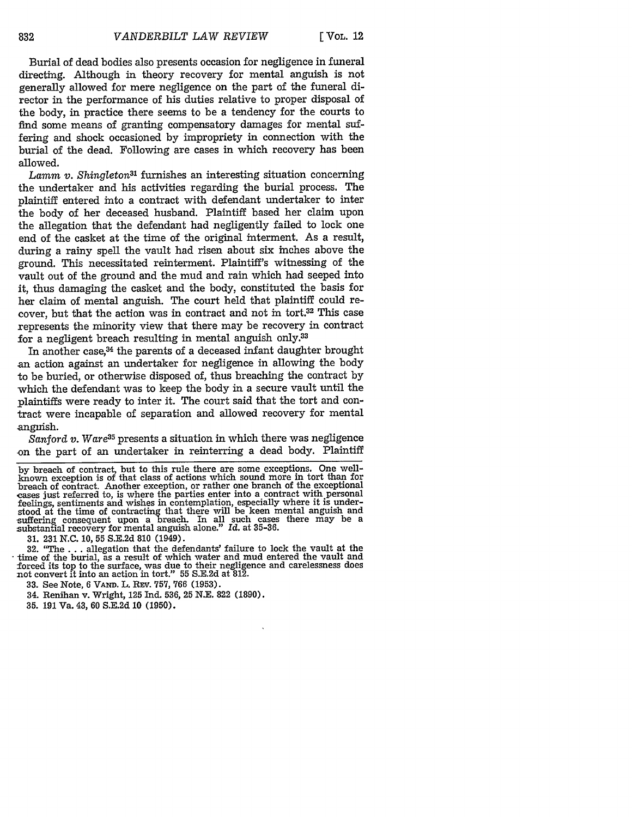Burial of dead bodies also presents occasion for negligence in funeral directing. Although in theory recovery for mental anguish is not generally allowed for mere negligence on the part of the funeral director in the performance of his duties relative to proper disposal of the body, in practice there seems to be a tendency for the courts to find some means of granting compensatory damages for mental suffering and shock occasioned by impropriety in connection with the burial of the dead. Following are cases in which recovery has been allowed.

*Lamm v. Shingleton3'* furnishes an interesting situation concerning the undertaker and his activities regarding the burial process. The plaintiff entered into a contract with defendant undertaker to inter the body of her deceased husband. Plaintiff based her claim upon the allegation that the defendant had negligently failed to lock one end of the casket at the time of the original interment. As a result, during a rainy spell the vault had risen about six inches above the ground. This necessitated reinterment. Plaintiff's witnessing of the vault out of the ground and the mud and rain which had seeped into it, thus damaging the casket and the body, constituted the basis for her claim of mental anguish. The court held that plaintiff could recover, but that the action was in contract and not in tort.<sup>32</sup> This case represents the minority view that there may be recovery in contract for a negligent breach resulting in mental anguish only.33

In another case,<sup>34</sup> the parents of a deceased infant daughter brought an action against an undertaker for negligence in allowing the body to be buried, or otherwise disposed of, thus breaching the contract by which the defendant was to keep the body in a secure vault until the plaintiffs were ready to inter it. The court said that the tort and contract were incapable of separation and allowed recovery for mental anguish.

*Sanford v. Ware35* presents a situation in which there was negligence on the part of an undertaker in reinterring a dead body. Plaintiff

by breach of contract, but to this rule there are some exceptions. One well-known exception is of that class of actions which sound more in tort than for breach of contract. Another exception, or rather one branch of the exceptional eases just referred to, is where the parties enter into a contract with personal feelings, sentiments and wishes in contemplation, especially where it is understood at the time of contracting that there will be keen mental anguish and suffering consequent upon a breach. In all such cases there may be a substantial recovery for mental anguish alone." *Id.* at 35-36.

31. 231 N.C. 10, 55 S.E.2d 810 (1949).

32. "The... allegation that the defendants' failure to lock the vault at the time of the burial, as a result of which water and mud entered the vault and forced its top to the surface, was due to their negligence and carelessness does not convert it into an action in tort." 55 S.E.2d at 812.

**33.** See Note, **6** VAmD. L. **REV.** 757, 766 (1953).

34. Renihan v. Wright, 125 Ind. **536, 25 N.E. 822 (1890).**

**35. 191 Va. 43, 60 S.E.2d 10 (1950).**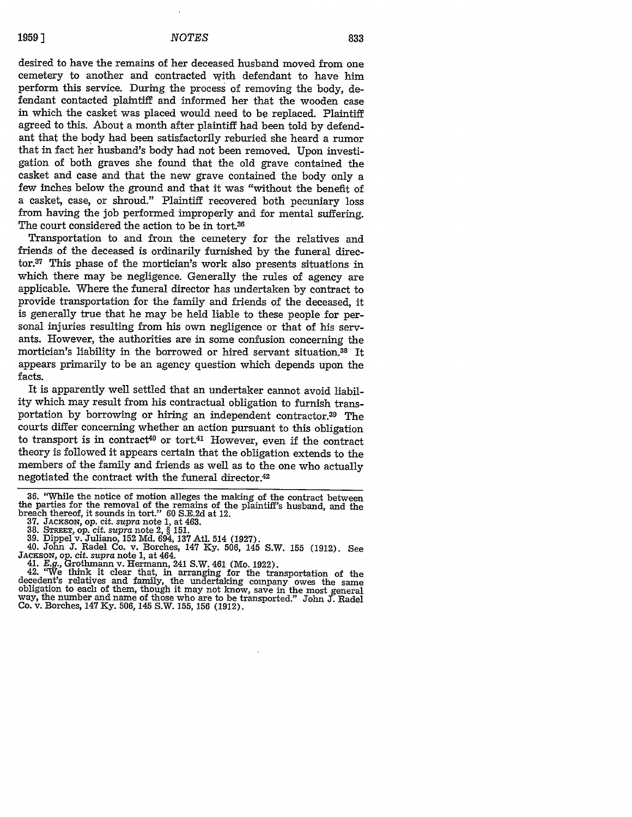desired to have the remains of her deceased husband moved from one cemetery to another and contracted with defendant to have him perform this service. During the process of removing the body, defendant contacted plaintiff and informed her that the wooden case in which the casket was placed would need to be replaced. Plaintiff agreed to this. About a month after plaintiff had been told by defendant that the body had been satisfactorily reburied she heard a rumor that in fact her husband's body had not been removed. Upon investigation of both graves she found that the old grave contained the casket and case and that the new grave contained the body only a few inches below the ground and that it was "without the benefit of a casket, case, or shroud." Plaintiff recovered both pecuniary loss from having the job performed improperly and for mental suffering. The court considered the action to be in tort.<sup>36</sup>

Transportation to and from the cemetery for the relatives and friends of the deceased is ordinarily furnished by the funeral director.37 This phase of the mortician's work also presents situations in which there may be negligence. Generally the rules of agency are applicable. Where the funeral director has undertaken by contract to provide transportation for the family and friends of the deceased, it is generally true that he may be held liable to these people for personal injuries resulting from his own negligence or that of his servants. However, the authorities are in some confusion concerning the mortician's liability in the borrowed or hired servant situation.38 It appears primarily to be an agency question which depends upon the facts.

It is apparently well settled that an undertaker cannot avoid liability which may result from his contractual obligation to furnish transportation by borrowing or hiring an independent contractor.<sup>39</sup> The courts differ concerning whether an action pursuant to this obligation to transport is in contract<sup>40</sup> or tort.<sup>41</sup> However, even if the contract theory is followed it appears certain that the obligation extends to the members of the family and friends as well as to the one who actually negotiated the contract with the funeral director.<sup>42</sup>

- 
- 
- 
- **39.** Dippel v. Juliano, **152** Md. 694, **137** Atl. 514 (1927). 40. John **J.** Radel Co. v. Borches, 147 Ky. 506, 145 S.W. **155** (1912). See 40. John J. Radel Co. v. Borches, 147 Ky. 506, 145 S.W. 155 (1912). See JACKSON, op. cit. *supra* note 1, at 464.
	-

41. *E.g.,* Grothmann v. Hermann, 241 S.W. 461 (Mo. 1922). 42. "We think it clear that, in arranging for the transportation of the decedent's relatives and family, the undertaking company owes the same<br>obligation to each of them, though it may not know, save in the most general way, the number and name of those who are to be transported." John J. Radel Co. v. Borches, 147 Ky. 506, 145 S.W. 155, 156 (1912).

<sup>36. &</sup>quot;While the notice of motion alleges the making of the contract between the parties for the removal of the remains of the plaintiff's husband, and the breach thereof, it sounds in tort." 60 S.E.2d at 12. **37. JACKSON,** *op. cit. supra* note 1, at 463. 38. STREET, **Op.** cit. *supra* note 2, § 151.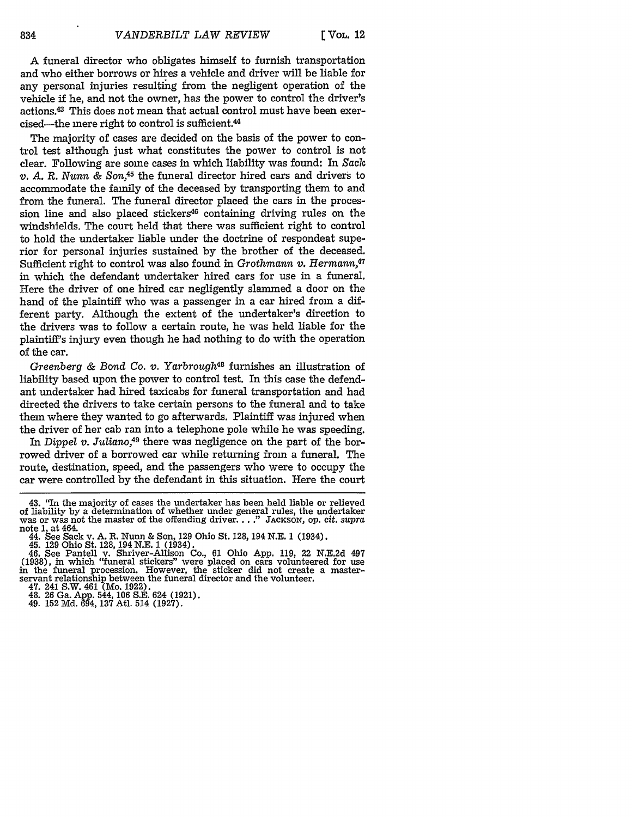**[ VOL.** 12

**A** funeral director who obligates himself to furnish transportation and who either borrows or hires a vehicle and driver will be liable for any personal injuries resulting from the negligent operation of the vehicle if he, and not the owner, has the power to control the driver's actions.43 This does not mean that actual control must have been exercised-the mere right to control is sufficient.44

The majority of cases are decided on the basis of the power to control test although just what constitutes the power to control is not clear. Following are some cases in which liability was found: In *Sack v. A. R. Nunn & Son,45* the funeral director hired cars and drivers to accommodate the family of the deceased by transporting them to and from the funeral. The funeral director placed the cars in the procession line and also placed stickers<sup>46</sup> containing driving rules on the windshields. The court held that there was sufficient right to control to hold the undertaker liable under the doctrine of respondeat superior for personal injuries sustained by the brother of the deceased. Sufficient right to control was also found in *Grothmann v. Hermann*,<sup>47</sup> in which the defendant undertaker hired cars for use in a funeral. Here the driver of one hired car negligently slammed a door on the hand of the plaintiff who was a passenger in a car hired from a different party. Although the extent of the undertaker's direction to the drivers was to follow a certain route, he was held liable for the plaintiff's injury even though he had nothing to do with the operation of the car.

*Greenberg & Bond Co. v. Yarbrough48* furnishes an illustration of liability based upon the power to control test. In this case the defendant undertaker had hired taxicabs for funeral transportation and had directed the drivers to take certain persons to the funeral and to take them where they wanted to go afterwards. Plaintiff was injured when the driver of her cab ran into a telephone pole while he was speeding.

In *Dippel v. Juliano,49* there was negligence on the part of the borrowed driver of a borrowed car while returning from a funeral. The route, destination, speed, and the passengers who were to occupy the car were controlled by the defendant in this situation. Here the court

<sup>43. &</sup>quot;In the majority of cases the undertaker has been held liable or relieved of liability by a determination of whether under general rules, the undertaker was or was not the master of the offending driver...." JAcKSON, op. cit. *supra* note 1, at 464.

<sup>44.</sup> See Sack v. A. R. Nunn & Son, 129 Ohio St. 128, 194 N.E. 1 (1934).

<sup>45. 129</sup> Ohio St. 128, 194 N.E. 1 (1934).

<sup>46.</sup> See Pantell v. Shriver-Allison Co., 61 Ohio App. 119, 22 N.E.2d 497 (1938), in which '"uneral stickers" were placed on cars volunteered for use in the funeral procession. However, the sticker did not create a masterservant relationship between the funeral director and the volunteer.

<sup>47. 241</sup> S.W. 461 (Mo. 1922). 48. 26 Ga. App. 544, 106 S.E. 624 (1921). 49. 152 Md. 694, **137** Atl. 514 (1927).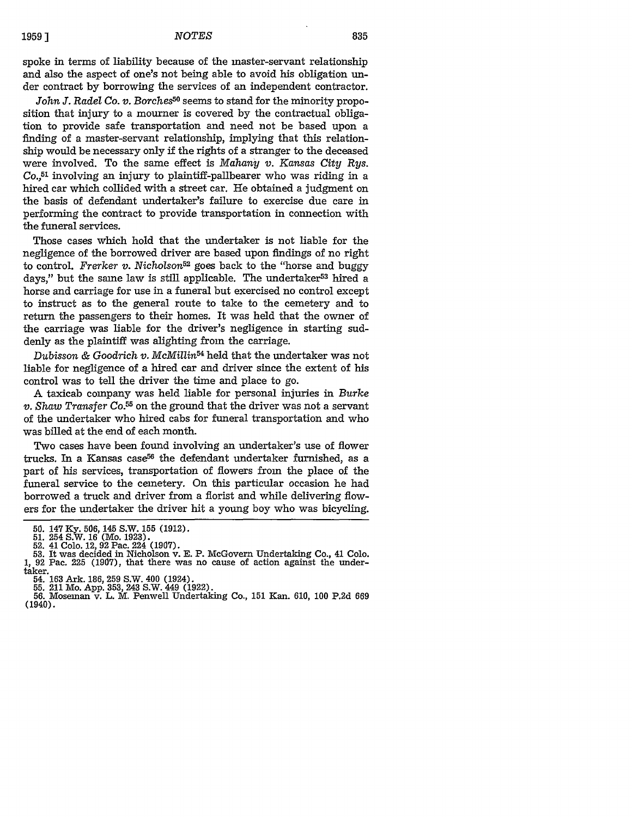835

spoke in terms of liability because of the master-servant relationship and also the aspect of one's not being able to avoid his obligation under contract by borrowing the services of an independent contractor.

*John J. Radel Co. v. Borches5°* seems to stand for the minority proposition that injury to a mourner is covered by the contractual obligation to provide safe transportation and need not be based upon a finding of a master-servant relationship, implying that this relationship would be necessary only if the rights of a stranger to the deceased were involved. To the same effect is *Mahany v. Kansas City Rys. Co.,51* involving an injury to plaintiff-pallbearer who was riding in a hired car which collided with a street car. He obtained a judgment on the basis of defendant undertaker's failure to exercise due care in performing the contract to provide transportation in connection with the funeral services.

Those cases which hold that the undertaker is not liable for the negligence of the borrowed driver are based upon findings of no right to control. *Frerker v. Nicholson52* goes back to the "horse and buggy days," but the same law is still applicable. The undertaker<sup>53</sup> hired a horse and carriage for use in a funeral but exercised no control except to instruct as to the general route to take to the cemetery and to return the passengers to their homes. It was held that the owner of the carriage was liable for the driver's negligence in starting suddenly as the plaintiff was alighting from the carriage.

*Dubisson & Goodrich v. McMillin54* held that the undertaker was not liable for negligence of a hired car and driver since the extent of his control was to tell the driver the time and place to go.

A taxicab company was held liable for personal injuries in *Burke v. Shaw Transfer Co. <sup>55</sup>*on the ground that the driver was not a servant of the undertaker who hired cabs for funeral transportation and who was billed at the end of each month.

Two cases have been found involving an undertaker's use of flower trucks. In a Kansas case<sup>56</sup> the defendant undertaker furnished, as a part of his services, transportation of flowers from the place of the funeral service to the cemetery. On this particular occasion he had borrowed a truck and driver from a florist and while delivering flowers for the undertaker the driver hit a young boy who was bicycling.

- 
- 54. **163** Ark. **186, 259** S.W. 400 (1924). **55.** 211 Mo. **App. 353,** 243 S.W. 449 **(1922). 56.** Moseman v. L. M. Penwell Undertaking Co., **151** Kan. **610, 100 P.2d 669** (1940).

<sup>50. 147</sup> Ky. 506, 145 S.W. 155 (1912).<br>51. 254 S.W. 16 (Mo. 1923).<br>52. 41 Colo. 12, 92 Pac. 224 (1907).<br>53. It was decided in Nicholson v. E. P. McGovern Undertaking Co., 41 Colo. **1, 92** Pac. **225 (1907),** that there was no cause of action against the undertaker.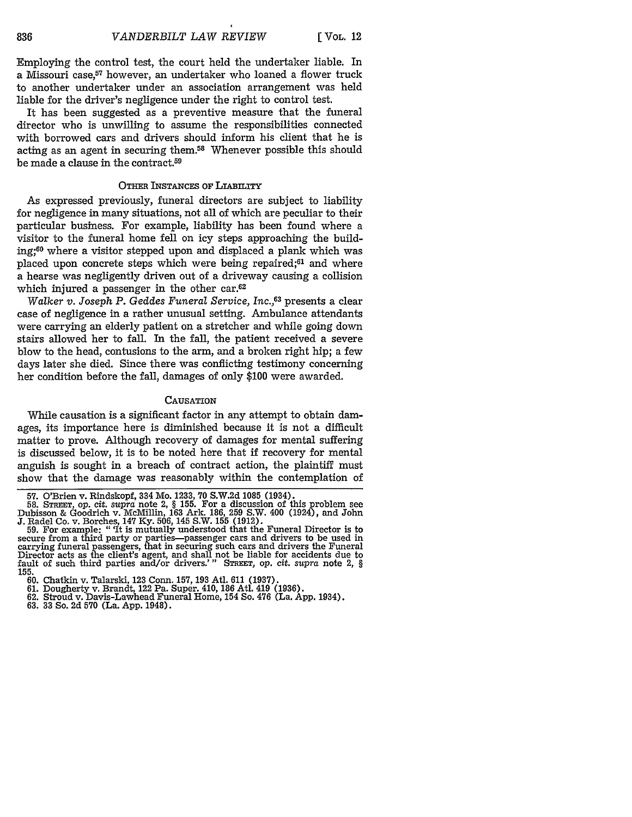Employing the control test, the court held the undertaker liable. In a Missouri case,<sup>57</sup> however, an undertaker who loaned a flower truck to another undertaker under an association arrangement was held liable for the driver's negligence under the right to control test.

It has been suggested as a preventive measure that the funeral director who is unwilling to assume the responsibilities connected with borrowed cars and drivers should inform his client that he is acting as an agent in securing them.58 Whenever possible this should be made a clause in the contract.59

#### **OTHER INSTANCES OF LIABILITY**

As expressed previously, funeral directors are subject to liability for negligence in many situations, not all of which are peculiar to their particular business. For example, liability has been found where a visitor to the funeral home fell on icy steps approaching the building;60 where a visitor stepped upon and displaced a plank which was placed upon concrete steps which were being repaired;<sup>61</sup> and where a hearse was negligently driven out of a driveway causing a collision which injured a passenger in the other car.<sup>62</sup>

*Walker v. Joseph P. Geddes Funeral Service, Inc.,63* presents a clear case of negligence in a rather unusual setting. Ambulance attendants were carrying an elderly patient on a stretcher and while going down stairs allowed her to fall. In the fall, the patient received a severe blow to the head, contusions to the arm, and a broken right hip; a few days later she died. Since there was conflicting testimony concerning her condition before the fall, damages of only \$100 were awarded.

#### **CAUSATION**

While causation is a significant factor in any attempt to obtain damages, its importance here is diminished because it is not a difficult matter to prove. Although recovery of damages for mental suffering is discussed below, it is to be noted here that if recovery for mental anguish is sought in a breach of contract action, the plaintiff must show that the damage was reasonably within the contemplation of

<sup>57.</sup> O'Brien v. Rindskopf, 334 Mo. **1233, 70 S.W.2d 1085** (1934). **58.** *STREET, op. cit. supra* note 2, § 155. For a discussion of this problem see Dubisson & Goodrich v. McMillin, 163 Ark. 186, 259 S.W. 400 (1924), and John J. Radel Co. v. Borches, 147 Ky. 506, 145 S.W. 155 (1912). 59. For example: "'It is mutually understood that the Funeral Director is to

secure from a third party or parties—passenger cars and drivers to be used in<br>carrying funeral passengers, that in securing such cars and drivers the Funeral<br>Director acts as the client's agent, and shall not be liable for fault of such third parties and/or drivers.'" **STREET, Op.** *cit. supra* note 2, § **155.**

**<sup>60.</sup>** Chatkin v. Talarski, **123** Conn. **157, 193** Atl. **611 (1937).**

**<sup>61.</sup>** Dougherty v. Brandt, 122 Pa. Super. 410, 186 Atl. 419 **(1936). 62.** Stroud v. Davis-Lawhead Funeral Home, 154 So. 476 (La. App. 1934). **63. 33** So. **2d 570** (La. **App.** 1948).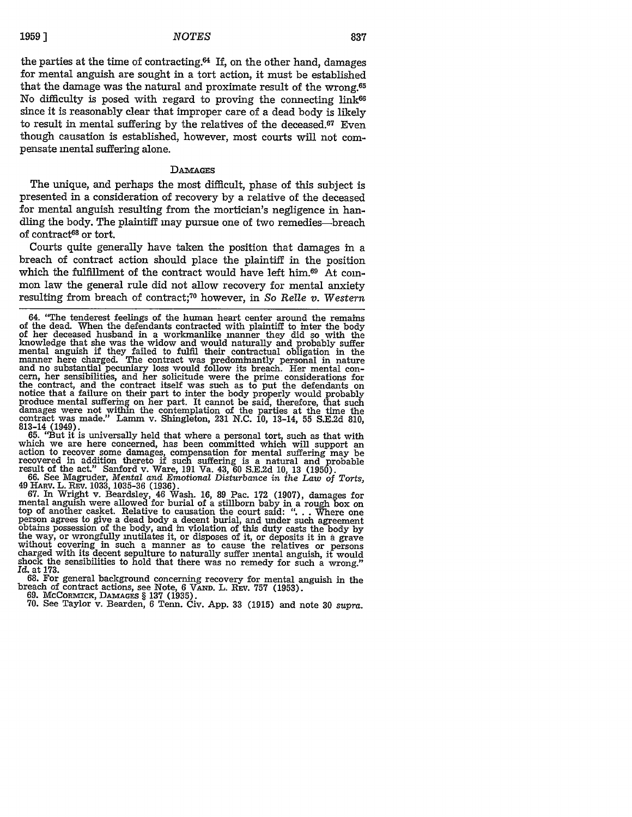the parties at the time of contracting. $64$  If, on the other hand, damages for mental anguish are sought in a tort action, it must be established that the damage was the natural and proximate result of the wrong.65 No difficulty is posed with regard to proving the connecting link<sup>66</sup> since it is reasonably clear that improper care of a dead body is likely to result in mental suffering by the relatives of the deceased.67 Even though causation is established, however, most courts will not compensate mental suffering alone.

#### DAmAGES

The unique, and perhaps the most difficult, phase of this subject is presented in a consideration of recovery by a relative of the deceased for mental anguish resulting from the mortician's negligence in handling the body. The plaintiff may pursue one of two remedies-breach of contract<sup>68</sup> or tort.

Courts quite generally have taken the position that damages in a breach of contract action should place the plaintiff in the position which the fulfillment of the contract would have left him.<sup>69</sup> At common law the general rule did not allow recovery for mental anxiety resulting from breach of contract;<sup>70</sup> however, in *So Relle v. Western* 

813-14 (1949). 65. "But it is universally held that where a personal tort, such as that with which we are here concerned, has been committed which will support an action to recover some damages, compensation for mental suffering may be recovered in addition thereto if such suffering is a natural and probable<br>result of the act." Sanford v. Ware, 191 Va. 43, 60 S.E.2d 10, 13 (1950).<br>66. See Magruder, Mental and Emotional Disturbance in the Law of Torts,

49 HARV. L. **REV.** 1033, 1035-36 (1936). 67. In Wright v. Beardsley, 46 Wash. 16, 89 Pac. 172 (1907), damages for

berson agrees to give a dead body a decent burial, and under such agreement<br>obtains possession of the body, and in violation of this duty casts the body by<br>the way, or wrongfully mutilates it, or disposes of it, or deposit shock the sensibilities to hold that there was no remedy for such a wrong." *Id.* at 173.

68. For general background concerning recovery for mental anguish in the breach of contract actions, see Note, 6 VAND. L. REV. 757 (1953).<br>69. McCorantex, DAMAGES § 137 (1935).<br>70. See Taylor v. Bearden, 6 Tenn. Civ. App. 33 (1915) and note 30 *supra*.

<sup>64. &</sup>quot;The tenderest feelings of the human heart center around the remains of the dead. When the defendants contracted with plaintiff to inter the body of her deceased husband in a workmanlike manner they did so with the knowledge that she was the widow and would naturally and probably suffer mental anguish if they failed to fulfil their contractual obligation in the manner here charged. The contract was predominantly personal in nature and no substantial pecuniary loss would follow its breach. Her mental con- cern, her sensibilities, and her solicitude were the prime considerations for earn, her sensibilities, and her solicitude were the prime considerations for<br>the contract, and the contract itself was such as to put the defendants on<br>the contract, and the contract itself was such as to put the defendan damages were not within the contemplation of the parties at the time the contract was made." Lamm v. Shingleton, 231 N.C. 10, 13-14, 55 S.E.2d 810,